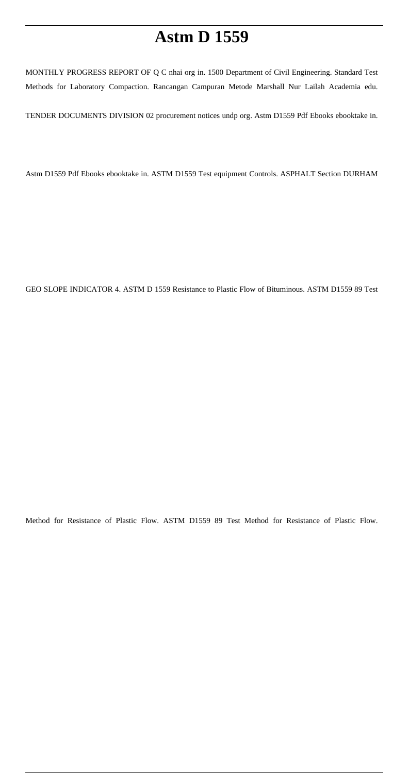# **Astm D 1559**

MONTHLY PROGRESS REPORT OF Q C nhai org in. 1500 Department of Civil Engineering. Standard Test Methods for Laboratory Compaction. Rancangan Campuran Metode Marshall Nur Lailah Academia edu.

TENDER DOCUMENTS DIVISION 02 procurement notices undp org. Astm D1559 Pdf Ebooks ebooktake in.

Astm D1559 Pdf Ebooks ebooktake in. ASTM D1559 Test equipment Controls. ASPHALT Section DURHAM

GEO SLOPE INDICATOR 4. ASTM D 1559 Resistance to Plastic Flow of Bituminous. ASTM D1559 89 Test

Method for Resistance of Plastic Flow. ASTM D1559 89 Test Method for Resistance of Plastic Flow.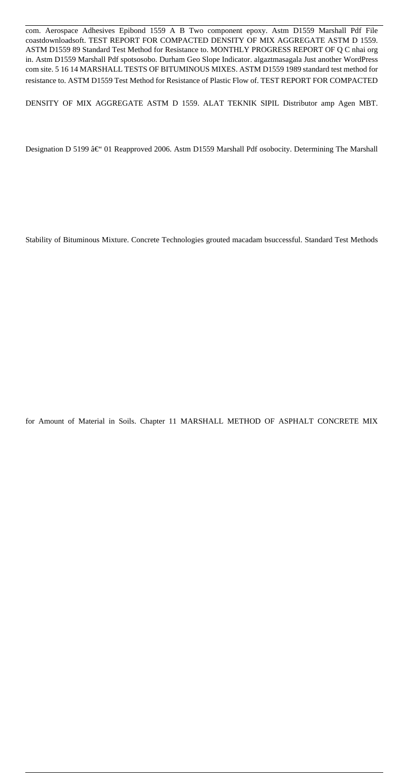com. Aerospace Adhesives Epibond 1559 A B Two component epoxy. Astm D1559 Marshall Pdf File coastdownloadsoft. TEST REPORT FOR COMPACTED DENSITY OF MIX AGGREGATE ASTM D 1559. ASTM D1559 89 Standard Test Method for Resistance to. MONTHLY PROGRESS REPORT OF Q C nhai org in. Astm D1559 Marshall Pdf spotsosobo. Durham Geo Slope Indicator. algaztmasagala Just another WordPress com site. 5 16 14 MARSHALL TESTS OF BITUMINOUS MIXES. ASTM D1559 1989 standard test method for resistance to. ASTM D1559 Test Method for Resistance of Plastic Flow of. TEST REPORT FOR COMPACTED

DENSITY OF MIX AGGREGATE ASTM D 1559. ALAT TEKNIK SIPIL Distributor amp Agen MBT.

Designation D 5199 – 01 Reapproved 2006. Astm D1559 Marshall Pdf osobocity. Determining The Marshall

Stability of Bituminous Mixture. Concrete Technologies grouted macadam bsuccessful. Standard Test Methods

for Amount of Material in Soils. Chapter 11 MARSHALL METHOD OF ASPHALT CONCRETE MIX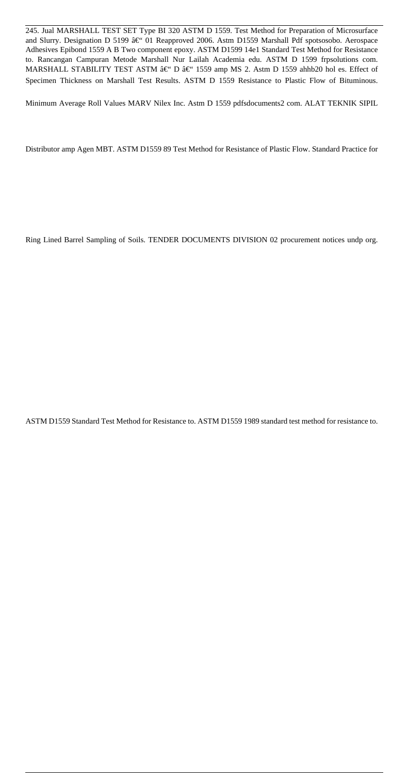245. Jual MARSHALL TEST SET Type BI 320 ASTM D 1559. Test Method for Preparation of Microsurface and Slurry. Designation D 5199  $\hat{a} \in \hat{O}$  Reapproved 2006. Astm D1559 Marshall Pdf spotsosobo. Aerospace Adhesives Epibond 1559 A B Two component epoxy. ASTM D1599 14e1 Standard Test Method for Resistance to. Rancangan Campuran Metode Marshall Nur Lailah Academia edu. ASTM D 1599 frpsolutions com. MARSHALL STABILITY TEST ASTM  $\hat{a} \in \hat{B}$  1559 amp MS 2. Astm D 1559 ahhb20 hol es. Effect of Specimen Thickness on Marshall Test Results. ASTM D 1559 Resistance to Plastic Flow of Bituminous.

Minimum Average Roll Values MARV Nilex Inc. Astm D 1559 pdfsdocuments2 com. ALAT TEKNIK SIPIL

Distributor amp Agen MBT. ASTM D1559 89 Test Method for Resistance of Plastic Flow. Standard Practice for

Ring Lined Barrel Sampling of Soils. TENDER DOCUMENTS DIVISION 02 procurement notices undp org.

ASTM D1559 Standard Test Method for Resistance to. ASTM D1559 1989 standard test method for resistance to.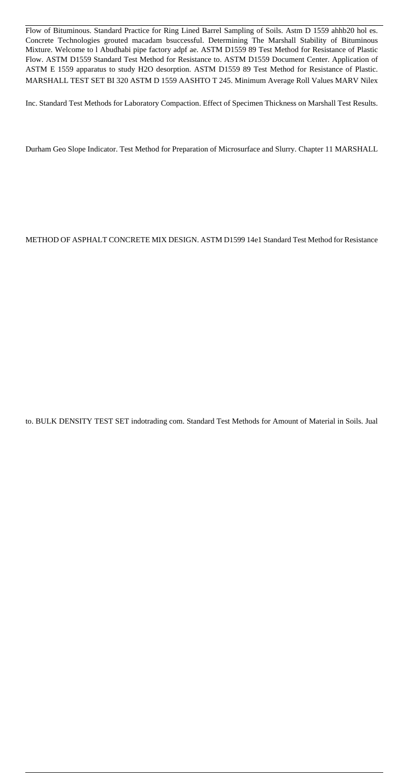Flow of Bituminous. Standard Practice for Ring Lined Barrel Sampling of Soils. Astm D 1559 ahhb20 hol es. Concrete Technologies grouted macadam bsuccessful. Determining The Marshall Stability of Bituminous Mixture. Welcome to l Abudhabi pipe factory adpf ae. ASTM D1559 89 Test Method for Resistance of Plastic Flow. ASTM D1559 Standard Test Method for Resistance to. ASTM D1559 Document Center. Application of ASTM E 1559 apparatus to study H2O desorption. ASTM D1559 89 Test Method for Resistance of Plastic. MARSHALL TEST SET BI 320 ASTM D 1559 AASHTO T 245. Minimum Average Roll Values MARV Nilex

Inc. Standard Test Methods for Laboratory Compaction. Effect of Specimen Thickness on Marshall Test Results.

Durham Geo Slope Indicator. Test Method for Preparation of Microsurface and Slurry. Chapter 11 MARSHALL

METHOD OF ASPHALT CONCRETE MIX DESIGN. ASTM D1599 14e1 Standard Test Method for Resistance

to. BULK DENSITY TEST SET indotrading com. Standard Test Methods for Amount of Material in Soils. Jual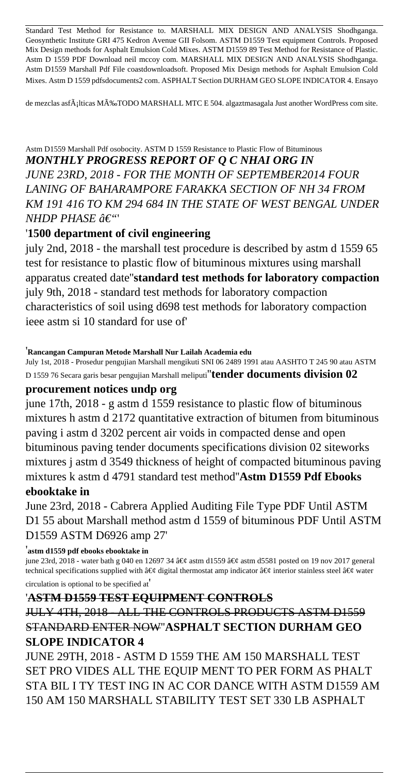Standard Test Method for Resistance to. MARSHALL MIX DESIGN AND ANALYSIS Shodhganga. Geosynthetic Institute GRI 475 Kedron Avenue GII Folsom. ASTM D1559 Test equipment Controls. Proposed Mix Design methods for Asphalt Emulsion Cold Mixes. ASTM D1559 89 Test Method for Resistance of Plastic. Astm D 1559 PDF Download neil mccoy com. MARSHALL MIX DESIGN AND ANALYSIS Shodhganga. Astm D1559 Marshall Pdf File coastdownloadsoft. Proposed Mix Design methods for Asphalt Emulsion Cold Mixes. Astm D 1559 pdfsdocuments2 com. ASPHALT Section DURHAM GEO SLOPE INDICATOR 4. Ensayo

de mezclas asfÂjlticas MÂ%TODO MARSHALL MTC E 504. algaztmasagala Just another WordPress com site.

### Astm D1559 Marshall Pdf osobocity. ASTM D 1559 Resistance to Plastic Flow of Bituminous *MONTHLY PROGRESS REPORT OF Q C NHAI ORG IN JUNE 23RD, 2018 - FOR THE MONTH OF SEPTEMBER2014 FOUR LANING OF BAHARAMPORE FARAKKA SECTION OF NH 34 FROM KM 191 416 TO KM 294 684 IN THE STATE OF WEST BENGAL UNDER NHDP PHASE â€*"

### '**1500 department of civil engineering**

july 2nd, 2018 - the marshall test procedure is described by astm d 1559 65 test for resistance to plastic flow of bituminous mixtures using marshall apparatus created date''**standard test methods for laboratory compaction** july 9th, 2018 - standard test methods for laboratory compaction characteristics of soil using d698 test methods for laboratory compaction ieee astm si 10 standard for use of'

### '**Rancangan Campuran Metode Marshall Nur Lailah Academia edu**

July 1st, 2018 - Prosedur pengujian Marshall mengikuti SNI 06 2489 1991 atau AASHTO T 245 90 atau ASTM

D 1559 76 Secara garis besar pengujian Marshall meliputi''**tender documents division 02 procurement notices undp org**

june 17th, 2018 - g astm d 1559 resistance to plastic flow of bituminous mixtures h astm d 2172 quantitative extraction of bitumen from bituminous paving i astm d 3202 percent air voids in compacted dense and open bituminous paving tender documents specifications division 02 siteworks mixtures j astm d 3549 thickness of height of compacted bituminous paving mixtures k astm d 4791 standard test method''**Astm D1559 Pdf Ebooks ebooktake in**

June 23rd, 2018 - Cabrera Applied Auditing File Type PDF Until ASTM D1 55 about Marshall method astm d 1559 of bituminous PDF Until ASTM D1559 ASTM D6926 amp 27'

#### '**astm d1559 pdf ebooks ebooktake in**

june 23rd, 2018 - water bath g 040 en 12697 34  $\hat{\alpha} \in \mathcal{G}$  astm d1559  $\hat{\alpha} \in \mathcal{G}$  astm d5581 posted on 19 nov 2017 general technical specifications supplied with  $\hat{a} \in \emptyset$  digital thermostat amp indicator  $\hat{a} \in \emptyset$  interior stainless steel  $\hat{a} \in \emptyset$  water circulation is optional to be specified at'

### '**ASTM D1559 TEST EQUIPMENT CONTROLS**

# JULY 4TH, 2018 - ALL THE CONTROLS PRODUCTS ASTM D1559 STANDARD ENTER NOW''**ASPHALT SECTION DURHAM GEO SLOPE INDICATOR 4**

JUNE 29TH, 2018 - ASTM D 1559 THE AM 150 MARSHALL TEST SET PRO VIDES ALL THE EQUIP MENT TO PER FORM AS PHALT STA BIL I TY TEST ING IN AC COR DANCE WITH ASTM D1559 AM 150 AM 150 MARSHALL STABILITY TEST SET 330 LB ASPHALT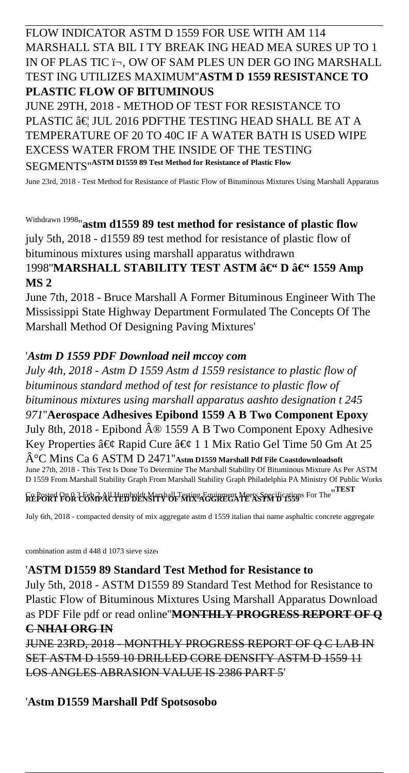## FLOW INDICATOR ASTM D 1559 FOR USE WITH AM 114 MARSHALL STA BIL I TY BREAK ING HEAD MEA SURES UP TO 1 IN OF PLAS TIC i¬, OW OF SAM PLES UN DER GO ING MARSHALL TEST ING UTILIZES MAXIMUM''**ASTM D 1559 RESISTANCE TO PLASTIC FLOW OF BITUMINOUS**

JUNE 29TH, 2018 - METHOD OF TEST FOR RESISTANCE TO PLASTIC  $\hat{a}\in$  JUL 2016 PDFTHE TESTING HEAD SHALL BE AT A TEMPERATURE OF 20 TO 40C IF A WATER BATH IS USED WIPE EXCESS WATER FROM THE INSIDE OF THE TESTING SEGMENTS''**ASTM D1559 89 Test Method for Resistance of Plastic Flow**

June 23rd, 2018 - Test Method for Resistance of Plastic Flow of Bituminous Mixtures Using Marshall Apparatus

# Withdrawn 1998''**astm d1559 89 test method for resistance of plastic flow**

july 5th, 2018 - d1559 89 test method for resistance of plastic flow of bituminous mixtures using marshall apparatus withdrawn 1998"**MARSHALL STABILITY TEST ASTM – D – 1559 Amp** 

### **MS 2**

June 7th, 2018 - Bruce Marshall A Former Bituminous Engineer With The Mississippi State Highway Department Formulated The Concepts Of The Marshall Method Of Designing Paving Mixtures'

### '*Astm D 1559 PDF Download neil mccoy com*

*July 4th, 2018 - Astm D 1559 Astm d 1559 resistance to plastic flow of bituminous standard method of test for resistance to plastic flow of bituminous mixtures using marshall apparatus aashto designation t 245 971*''**Aerospace Adhesives Epibond 1559 A B Two Component Epoxy** July 8th, 2018 - Epibond  $\hat{A} \otimes 1559$  A B Two Component Epoxy Adhesive Key Properties â $\epsilon$ g Rapid Cure â $\epsilon$ g 1 1 Mix Ratio Gel Time 50 Gm At 25 °C Mins Ca 6 ASTM D 2471''**Astm D1559 Marshall Pdf File Coastdownloadsoft** June 27th, 2018 - This Test Is Done To Determine The Marshall Stability Of Bituminous Mixture As Per ASTM D 1559 From Marshall Stability Graph From Marshall Stability Graph Philadelphia PA Ministry Of Public Works

Co Posted On 0 3 Feb 2 All Humboldt Marshall Testing Equipment Meets Specifications For The''**TEST REPORT FOR COMPACTED DENSITY OF MIX AGGREGATE ASTM D 1559**

July 6th, 2018 - compacted density of mix aggregate astm d 1559 italian thai name asphaltic concrete aggregate

combination astm d 448 d 1073 sieve size'

### '**ASTM D1559 89 Standard Test Method for Resistance to**

July 5th, 2018 - ASTM D1559 89 Standard Test Method for Resistance to Plastic Flow of Bituminous Mixtures Using Marshall Apparatus Download as PDF File pdf or read online''**MONTHLY PROGRESS REPORT OF Q C NHAI ORG IN**

JUNE 23RD, 2018 - MONTHLY PROGRESS REPORT OF Q C LAB IN SET ASTM D 1559 10 DRILLED CORE DENSITY ASTM D 1559 11 LOS ANGLES ABRASION VALUE IS 2386 PART 5'

### '**Astm D1559 Marshall Pdf Spotsosobo**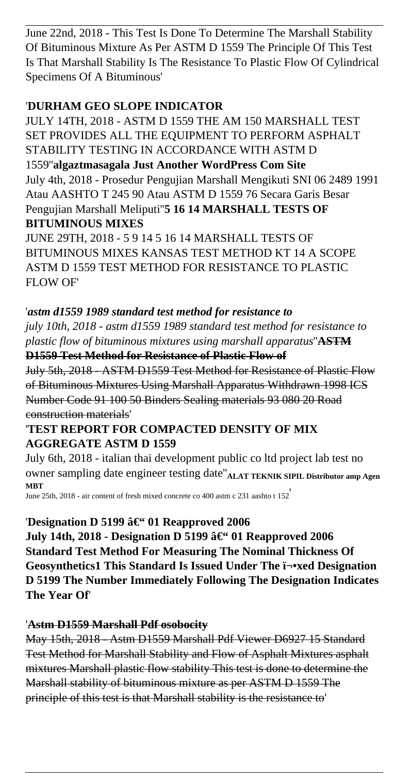June 22nd, 2018 - This Test Is Done To Determine The Marshall Stability Of Bituminous Mixture As Per ASTM D 1559 The Principle Of This Test Is That Marshall Stability Is The Resistance To Plastic Flow Of Cylindrical Specimens Of A Bituminous'

## '**DURHAM GEO SLOPE INDICATOR**

JULY 14TH, 2018 - ASTM D 1559 THE AM 150 MARSHALL TEST SET PROVIDES ALL THE EQUIPMENT TO PERFORM ASPHALT STABILITY TESTING IN ACCORDANCE WITH ASTM D 1559''**algaztmasagala Just Another WordPress Com Site** July 4th, 2018 - Prosedur Pengujian Marshall Mengikuti SNI 06 2489 1991 Atau AASHTO T 245 90 Atau ASTM D 1559 76 Secara Garis Besar Pengujian Marshall Meliputi''**5 16 14 MARSHALL TESTS OF BITUMINOUS MIXES**

JUNE 29TH, 2018 - 5 9 14 5 16 14 MARSHALL TESTS OF BITUMINOUS MIXES KANSAS TEST METHOD KT 14 A SCOPE ASTM D 1559 TEST METHOD FOR RESISTANCE TO PLASTIC FLOW OF'

## '*astm d1559 1989 standard test method for resistance to*

*july 10th, 2018 - astm d1559 1989 standard test method for resistance to plastic flow of bituminous mixtures using marshall apparatus*''**ASTM D1559 Test Method for Resistance of Plastic Flow of**

July 5th, 2018 - ASTM D1559 Test Method for Resistance of Plastic Flow of Bituminous Mixtures Using Marshall Apparatus Withdrawn 1998 ICS Number Code 91 100 50 Binders Sealing materials 93 080 20 Road construction materials'

## '**TEST REPORT FOR COMPACTED DENSITY OF MIX AGGREGATE ASTM D 1559**

July 6th, 2018 - italian thai development public co ltd project lab test no owner sampling date engineer testing date''**ALAT TEKNIK SIPIL Distributor amp Agen MBT**

June 25th, 2018 - air content of fresh mixed concrete co 400 astm c 231 aashto t 152'

# 'Designation D 5199 â€" 01 Reapproved 2006

July 14th, 2018 - Designation D 5199 – 01 Reapproved 2006 **Standard Test Method For Measuring The Nominal Thickness Of Geosynthetics1 This Standard Is Issued Under The ﬕxed Designation D 5199 The Number Immediately Following The Designation Indicates The Year Of**'

### '**Astm D1559 Marshall Pdf osobocity**

May 15th, 2018 - Astm D1559 Marshall Pdf Viewer D6927 15 Standard Test Method for Marshall Stability and Flow of Asphalt Mixtures asphalt mixtures Marshall plastic flow stability This test is done to determine the Marshall stability of bituminous mixture as per ASTM D 1559 The principle of this test is that Marshall stability is the resistance to'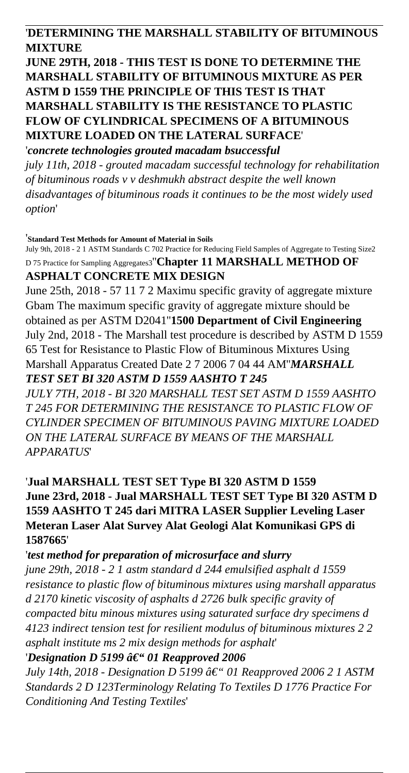### '**DETERMINING THE MARSHALL STABILITY OF BITUMINOUS MIXTURE**

# **JUNE 29TH, 2018 - THIS TEST IS DONE TO DETERMINE THE MARSHALL STABILITY OF BITUMINOUS MIXTURE AS PER ASTM D 1559 THE PRINCIPLE OF THIS TEST IS THAT MARSHALL STABILITY IS THE RESISTANCE TO PLASTIC FLOW OF CYLINDRICAL SPECIMENS OF A BITUMINOUS MIXTURE LOADED ON THE LATERAL SURFACE**'

'*concrete technologies grouted macadam bsuccessful july 11th, 2018 - grouted macadam successful technology for rehabilitation of bituminous roads v v deshmukh abstract despite the well known disadvantages of bituminous roads it continues to be the most widely used option*'

#### '**Standard Test Methods for Amount of Material in Soils**

July 9th, 2018 - 2 1 ASTM Standards C 702 Practice for Reducing Field Samples of Aggregate to Testing Size2 D 75 Practice for Sampling Aggregates3''**Chapter 11 MARSHALL METHOD OF ASPHALT CONCRETE MIX DESIGN**

June 25th, 2018 - 57 11 7 2 Maximu specific gravity of aggregate mixture Gbam The maximum specific gravity of aggregate mixture should be obtained as per ASTM D2041''**1500 Department of Civil Engineering** July 2nd, 2018 - The Marshall test procedure is described by ASTM D 1559 65 Test for Resistance to Plastic Flow of Bituminous Mixtures Using Marshall Apparatus Created Date 2 7 2006 7 04 44 AM''*MARSHALL TEST SET BI 320 ASTM D 1559 AASHTO T 245*

*JULY 7TH, 2018 - BI 320 MARSHALL TEST SET ASTM D 1559 AASHTO T 245 FOR DETERMINING THE RESISTANCE TO PLASTIC FLOW OF CYLINDER SPECIMEN OF BITUMINOUS PAVING MIXTURE LOADED ON THE LATERAL SURFACE BY MEANS OF THE MARSHALL APPARATUS*'

'**Jual MARSHALL TEST SET Type BI 320 ASTM D 1559 June 23rd, 2018 - Jual MARSHALL TEST SET Type BI 320 ASTM D 1559 AASHTO T 245 dari MITRA LASER Supplier Leveling Laser Meteran Laser Alat Survey Alat Geologi Alat Komunikasi GPS di 1587665**'

### '*test method for preparation of microsurface and slurry*

*june 29th, 2018 - 2 1 astm standard d 244 emulsified asphalt d 1559 resistance to plastic flow of bituminous mixtures using marshall apparatus d 2170 kinetic viscosity of asphalts d 2726 bulk specific gravity of compacted bitu minous mixtures using saturated surface dry specimens d 4123 indirect tension test for resilient modulus of bituminous mixtures 2 2 asphalt institute ms 2 mix design methods for asphalt*' *'Designation D 5199 â€ 01 Reapproved 2006* 

*July 14th, 2018 - Designation D 5199 â€*" 01 Reapproved 2006 2 1 ASTM *Standards 2 D 123Terminology Relating To Textiles D 1776 Practice For Conditioning And Testing Textiles*'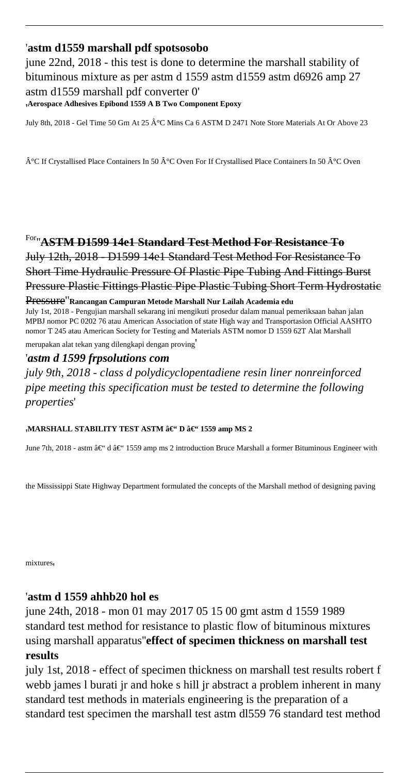### '**astm d1559 marshall pdf spotsosobo**

june 22nd, 2018 - this test is done to determine the marshall stability of bituminous mixture as per astm d 1559 astm d 1559 astm d 6926 amp 27 astm d1559 marshall pdf converter 0' '**Aerospace Adhesives Epibond 1559 A B Two Component Epoxy**

July 8th, 2018 - Gel Time 50 Gm At 25 °C Mins Ca 6 ASTM D 2471 Note Store Materials At Or Above 23

 $\hat{A}^{\circ}C$  If Crystallised Place Containers In 50  $\hat{A}^{\circ}C$  Oven For If Crystallised Place Containers In 50  $\hat{A}^{\circ}C$  Oven

For''**ASTM D1599 14e1 Standard Test Method For Resistance To** July 12th, 2018 - D1599 14e1 Standard Test Method For Resistance To Short Time Hydraulic Pressure Of Plastic Pipe Tubing And Fittings Burst Pressure Plastic Fittings Plastic Pipe Plastic Tubing Short Term Hydrostatic

#### Pressure''**Rancangan Campuran Metode Marshall Nur Lailah Academia edu**

July 1st, 2018 - Pengujian marshall sekarang ini mengikuti prosedur dalam manual pemeriksaan bahan jalan MPBJ nomor PC 0202 76 atau American Association of state High way and Transportasion Official AASHTO nomor T 245 atau American Society for Testing and Materials ASTM nomor D 1559 62T Alat Marshall

merupakan alat tekan yang dilengkapi dengan proving'

### '*astm d 1599 frpsolutions com*

*july 9th, 2018 - class d polydicyclopentadiene resin liner nonreinforced pipe meeting this specification must be tested to determine the following properties*'

#### <sub>'</sub>MARSHALL STABILITY TEST ASTM – D – 1559 amp MS 2

June 7th, 2018 - astm â $\epsilon$ " d â $\epsilon$ " 1559 amp ms 2 introduction Bruce Marshall a former Bituminous Engineer with

the Mississippi State Highway Department formulated the concepts of the Marshall method of designing paving

mixtures,

### '**astm d 1559 ahhb20 hol es**

june 24th, 2018 - mon 01 may 2017 05 15 00 gmt astm d 1559 1989 standard test method for resistance to plastic flow of bituminous mixtures using marshall apparatus''**effect of specimen thickness on marshall test results**

july 1st, 2018 - effect of specimen thickness on marshall test results robert f webb james l burati jr and hoke s hill jr abstract a problem inherent in many standard test methods in materials engineering is the preparation of a standard test specimen the marshall test astm dl559 76 standard test method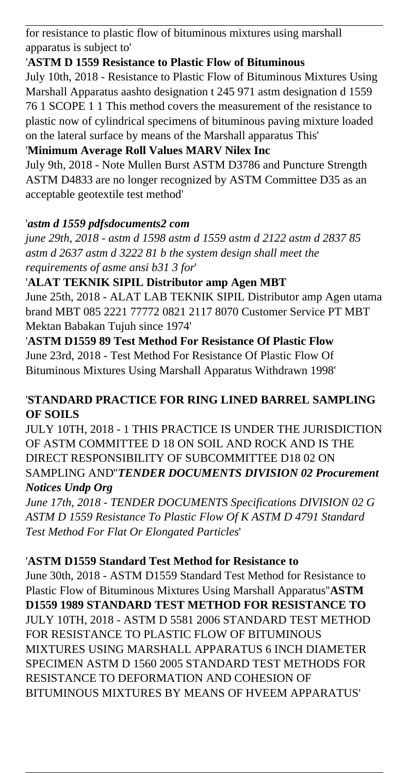for resistance to plastic flow of bituminous mixtures using marshall apparatus is subject to'

## '**ASTM D 1559 Resistance to Plastic Flow of Bituminous**

July 10th, 2018 - Resistance to Plastic Flow of Bituminous Mixtures Using Marshall Apparatus aashto designation t 245 971 astm designation d 1559 76 1 SCOPE 1 1 This method covers the measurement of the resistance to plastic now of cylindrical specimens of bituminous paving mixture loaded on the lateral surface by means of the Marshall apparatus This'

# '**Minimum Average Roll Values MARV Nilex Inc**

July 9th, 2018 - Note Mullen Burst ASTM D3786 and Puncture Strength ASTM D4833 are no longer recognized by ASTM Committee D35 as an acceptable geotextile test method'

## '*astm d 1559 pdfsdocuments2 com*

*june 29th, 2018 - astm d 1598 astm d 1559 astm d 2122 astm d 2837 85 astm d 2637 astm d 3222 81 b the system design shall meet the requirements of asme ansi b31 3 for*'

## '**ALAT TEKNIK SIPIL Distributor amp Agen MBT**

June 25th, 2018 - ALAT LAB TEKNIK SIPIL Distributor amp Agen utama brand MBT 085 2221 77772 0821 2117 8070 Customer Service PT MBT Mektan Babakan Tujuh since 1974'

'**ASTM D1559 89 Test Method For Resistance Of Plastic Flow** June 23rd, 2018 - Test Method For Resistance Of Plastic Flow Of Bituminous Mixtures Using Marshall Apparatus Withdrawn 1998'

## '**STANDARD PRACTICE FOR RING LINED BARREL SAMPLING OF SOILS**

JULY 10TH, 2018 - 1 THIS PRACTICE IS UNDER THE JURISDICTION OF ASTM COMMITTEE D 18 ON SOIL AND ROCK AND IS THE DIRECT RESPONSIBILITY OF SUBCOMMITTEE D18 02 ON SAMPLING AND''*TENDER DOCUMENTS DIVISION 02 Procurement Notices Undp Org*

*June 17th, 2018 - TENDER DOCUMENTS Specifications DIVISION 02 G ASTM D 1559 Resistance To Plastic Flow Of K ASTM D 4791 Standard Test Method For Flat Or Elongated Particles*'

### '**ASTM D1559 Standard Test Method for Resistance to**

June 30th, 2018 - ASTM D1559 Standard Test Method for Resistance to Plastic Flow of Bituminous Mixtures Using Marshall Apparatus''**ASTM D1559 1989 STANDARD TEST METHOD FOR RESISTANCE TO** JULY 10TH, 2018 - ASTM D 5581 2006 STANDARD TEST METHOD FOR RESISTANCE TO PLASTIC FLOW OF BITUMINOUS MIXTURES USING MARSHALL APPARATUS 6 INCH DIAMETER SPECIMEN ASTM D 1560 2005 STANDARD TEST METHODS FOR RESISTANCE TO DEFORMATION AND COHESION OF BITUMINOUS MIXTURES BY MEANS OF HVEEM APPARATUS'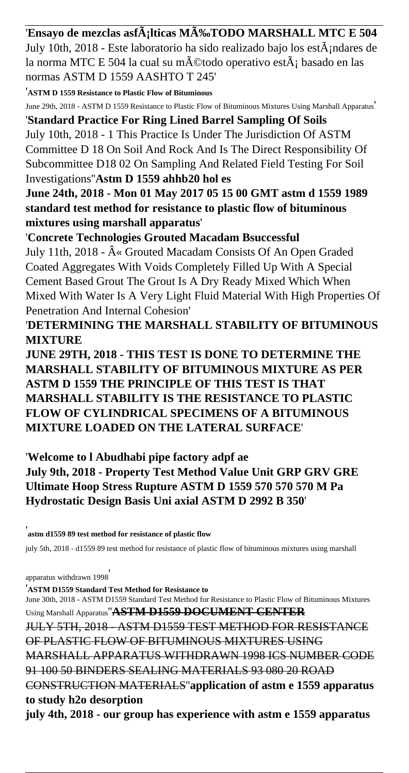'Ensayo de mezclas asf $\tilde{A}$ ;lticas M $\tilde{A}$ %TODO MARSHALL MTC E 504 July 10th, 2018 - Este laboratorio ha sido realizado bajo los est $\tilde{A}$ ; ndares de la norma MTC E 504 la cual su método operativo est $\tilde{A}$ ; basado en las normas ASTM D 1559 AASHTO T 245'

'**ASTM D 1559 Resistance to Plastic Flow of Bituminous**

June 29th, 2018 - ASTM D 1559 Resistance to Plastic Flow of Bituminous Mixtures Using Marshall Apparatus'

'**Standard Practice For Ring Lined Barrel Sampling Of Soils** July 10th, 2018 - 1 This Practice Is Under The Jurisdiction Of ASTM Committee D 18 On Soil And Rock And Is The Direct Responsibility Of Subcommittee D18 02 On Sampling And Related Field Testing For Soil Investigations''**Astm D 1559 ahhb20 hol es**

**June 24th, 2018 - Mon 01 May 2017 05 15 00 GMT astm d 1559 1989 standard test method for resistance to plastic flow of bituminous mixtures using marshall apparatus**'

'**Concrete Technologies Grouted Macadam Bsuccessful**

July 11th, 2018 -  $\hat{A}$ « Grouted Macadam Consists Of An Open Graded Coated Aggregates With Voids Completely Filled Up With A Special Cement Based Grout The Grout Is A Dry Ready Mixed Which When Mixed With Water Is A Very Light Fluid Material With High Properties Of Penetration And Internal Cohesion'

'**DETERMINING THE MARSHALL STABILITY OF BITUMINOUS MIXTURE**

**JUNE 29TH, 2018 - THIS TEST IS DONE TO DETERMINE THE MARSHALL STABILITY OF BITUMINOUS MIXTURE AS PER ASTM D 1559 THE PRINCIPLE OF THIS TEST IS THAT MARSHALL STABILITY IS THE RESISTANCE TO PLASTIC FLOW OF CYLINDRICAL SPECIMENS OF A BITUMINOUS MIXTURE LOADED ON THE LATERAL SURFACE**'

'**Welcome to l Abudhabi pipe factory adpf ae July 9th, 2018 - Property Test Method Value Unit GRP GRV GRE Ultimate Hoop Stress Rupture ASTM D 1559 570 570 570 M Pa Hydrostatic Design Basis Uni axial ASTM D 2992 B 350**'

'**astm d1559 89 test method for resistance of plastic flow**

july 5th, 2018 - d1559 89 test method for resistance of plastic flow of bituminous mixtures using marshall

apparatus withdrawn 1998'

'**ASTM D1559 Standard Test Method for Resistance to** June 30th, 2018 - ASTM D1559 Standard Test Method for Resistance to Plastic Flow of Bituminous Mixtures Using Marshall Apparatus''**ASTM D1559 DOCUMENT CENTER** JULY 5TH, 2018 - ASTM D1559 TEST METHOD FOR RESISTANCE OF PLASTIC FLOW OF BITUMINOUS MIXTURES USING MARSHALL APPARATUS WITHDRAWN 1998 ICS NUMBER CODE 91 100 50 BINDERS SEALING MATERIALS 93 080 20 ROAD CONSTRUCTION MATERIALS''**application of astm e 1559 apparatus to study h2o desorption july 4th, 2018 - our group has experience with astm e 1559 apparatus**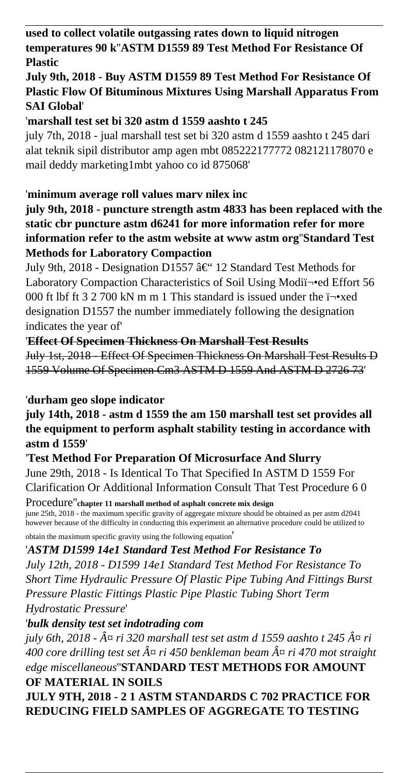**used to collect volatile outgassing rates down to liquid nitrogen temperatures 90 k**''**ASTM D1559 89 Test Method For Resistance Of Plastic**

# **July 9th, 2018 - Buy ASTM D1559 89 Test Method For Resistance Of Plastic Flow Of Bituminous Mixtures Using Marshall Apparatus From SAI Global**'

'**marshall test set bi 320 astm d 1559 aashto t 245**

july 7th, 2018 - jual marshall test set bi 320 astm d 1559 aashto t 245 dari alat teknik sipil distributor amp agen mbt 085222177772 082121178070 e mail deddy marketing1mbt yahoo co id 875068'

### '**minimum average roll values marv nilex inc**

**july 9th, 2018 - puncture strength astm 4833 has been replaced with the static cbr puncture astm d6241 for more information refer for more information refer to the astm website at www astm org**''**Standard Test Methods for Laboratory Compaction**

July 9th, 2018 - Designation D1557 †12 Standard Test Methods for Laboratory Compaction Characteristics of Soil Using Modiﬕed Effort 56 000 ft lbf ft  $3\ 2\ 700$  kN m m 1 This standard is issued under the  $i\neg$ xed designation D1557 the number immediately following the designation indicates the year of'

### '**Effect Of Specimen Thickness On Marshall Test Results**

July 1st, 2018 - Effect Of Specimen Thickness On Marshall Test Results D 1559 Volume Of Specimen Cm3 ASTM D 1559 And ASTM D 2726 73'

### '**durham geo slope indicator**

**july 14th, 2018 - astm d 1559 the am 150 marshall test set provides all the equipment to perform asphalt stability testing in accordance with astm d 1559**'

### '**Test Method For Preparation Of Microsurface And Slurry**

June 29th, 2018 - Is Identical To That Specified In ASTM D 1559 For Clarification Or Additional Information Consult That Test Procedure 6 0

Procedure''**chapter 11 marshall method of asphalt concrete mix design** june 25th, 2018 - the maximum specific gravity of aggregate mixture should be obtained as per astm d2041 however because of the difficulty in conducting this experiment an alternative procedure could be utilized to obtain the maximum specific gravity using the following equation'

### '*ASTM D1599 14e1 Standard Test Method For Resistance To*

*July 12th, 2018 - D1599 14e1 Standard Test Method For Resistance To Short Time Hydraulic Pressure Of Plastic Pipe Tubing And Fittings Burst Pressure Plastic Fittings Plastic Pipe Plastic Tubing Short Term Hydrostatic Pressure*'

### '*bulk density test set indotrading com*

*july 6th, 2018 - ¤ ri 320 marshall test set astm d 1559 aashto t 245 ¤ ri*  $400$  core drilling test set  $\hat{A}^\alpha$  ri 450 benkleman beam  $\hat{A}^\alpha$  ri 470 mot straight *edge miscellaneous*''**STANDARD TEST METHODS FOR AMOUNT OF MATERIAL IN SOILS**

**JULY 9TH, 2018 - 2 1 ASTM STANDARDS C 702 PRACTICE FOR REDUCING FIELD SAMPLES OF AGGREGATE TO TESTING**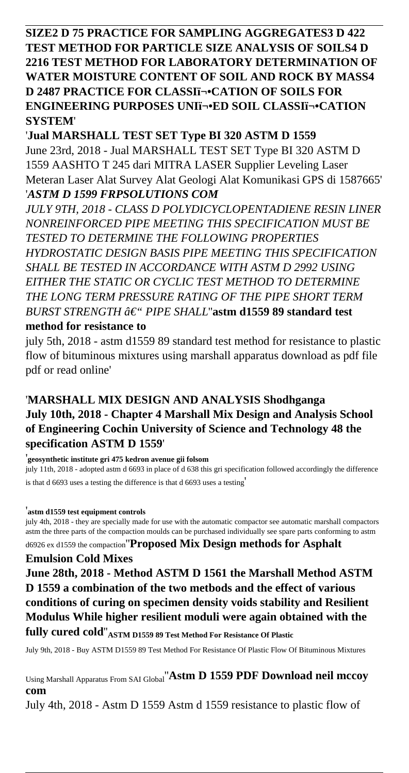**SIZE2 D 75 PRACTICE FOR SAMPLING AGGREGATES3 D 422 TEST METHOD FOR PARTICLE SIZE ANALYSIS OF SOILS4 D 2216 TEST METHOD FOR LABORATORY DETERMINATION OF WATER MOISTURE CONTENT OF SOIL AND ROCK BY MASS4 D 2487 PRACTICE FOR CLASSIﬕCATION OF SOILS FOR ENGINEERING PURPOSES UNIﬕED SOIL CLASSIﬕCATION SYSTEM**'

'**Jual MARSHALL TEST SET Type BI 320 ASTM D 1559** June 23rd, 2018 - Jual MARSHALL TEST SET Type BI 320 ASTM D 1559 AASHTO T 245 dari MITRA LASER Supplier Leveling Laser Meteran Laser Alat Survey Alat Geologi Alat Komunikasi GPS di 1587665' '*ASTM D 1599 FRPSOLUTIONS COM*

*JULY 9TH, 2018 - CLASS D POLYDICYCLOPENTADIENE RESIN LINER NONREINFORCED PIPE MEETING THIS SPECIFICATION MUST BE TESTED TO DETERMINE THE FOLLOWING PROPERTIES HYDROSTATIC DESIGN BASIS PIPE MEETING THIS SPECIFICATION SHALL BE TESTED IN ACCORDANCE WITH ASTM D 2992 USING EITHER THE STATIC OR CYCLIC TEST METHOD TO DETERMINE THE LONG TERM PRESSURE RATING OF THE PIPE SHORT TERM BURST STRENGTH â€*" *PIPE SHALL*"astm d1559 89 standard test **method for resistance to**

july 5th, 2018 - astm d1559 89 standard test method for resistance to plastic flow of bituminous mixtures using marshall apparatus download as pdf file pdf or read online'

### '**MARSHALL MIX DESIGN AND ANALYSIS Shodhganga July 10th, 2018 - Chapter 4 Marshall Mix Design and Analysis School of Engineering Cochin University of Science and Technology 48 the specification ASTM D 1559**'

'**geosynthetic institute gri 475 kedron avenue gii folsom**

july 11th, 2018 - adopted astm d 6693 in place of d 638 this gri specification followed accordingly the difference is that d 6693 uses a testing the difference is that d 6693 uses a testing'

### '**astm d1559 test equipment controls**

july 4th, 2018 - they are specially made for use with the automatic compactor see automatic marshall compactors astm the three parts of the compaction moulds can be purchased individually see spare parts conforming to astm

### d6926 ex d1559 the compaction''**Proposed Mix Design methods for Asphalt Emulsion Cold Mixes**

**June 28th, 2018 - Method ASTM D 1561 the Marshall Method ASTM D 1559 a combination of the two metbods and the effect of various conditions of curing on specimen density voids stability and Resilient Modulus While higher resilient moduli were again obtained with the**

**fully cured cold**''**ASTM D1559 89 Test Method For Resistance Of Plastic**

July 9th, 2018 - Buy ASTM D1559 89 Test Method For Resistance Of Plastic Flow Of Bituminous Mixtures

Using Marshall Apparatus From SAI Global''**Astm D 1559 PDF Download neil mccoy com**

July 4th, 2018 - Astm D 1559 Astm d 1559 resistance to plastic flow of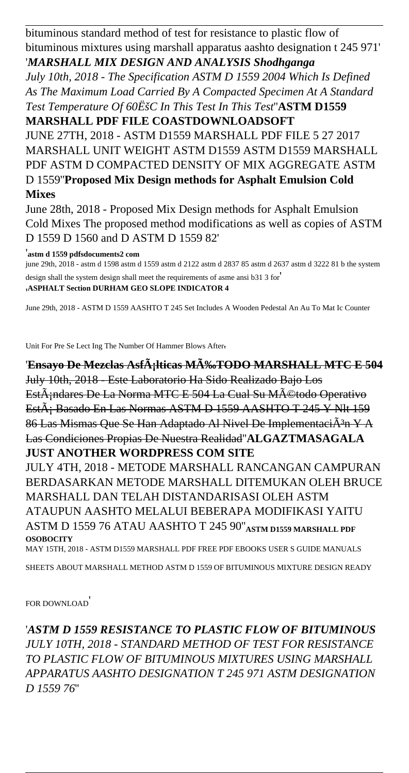bituminous standard method of test for resistance to plastic flow of bituminous mixtures using marshall apparatus aashto designation t 245 971' '*MARSHALL MIX DESIGN AND ANALYSIS Shodhganga*

*July 10th, 2018 - The Specification ASTM D 1559 2004 Which Is Defined As The Maximum Load Carried By A Compacted Specimen At A Standard Test Temperature Of 60ËšC In This Test In This Test*''**ASTM D1559 MARSHALL PDF FILE COASTDOWNLOADSOFT**

JUNE 27TH, 2018 - ASTM D1559 MARSHALL PDF FILE 5 27 2017 MARSHALL UNIT WEIGHT ASTM D1559 ASTM D1559 MARSHALL PDF ASTM D COMPACTED DENSITY OF MIX AGGREGATE ASTM D 1559''**Proposed Mix Design methods for Asphalt Emulsion Cold Mixes**

June 28th, 2018 - Proposed Mix Design methods for Asphalt Emulsion Cold Mixes The proposed method modifications as well as copies of ASTM D 1559 D 1560 and D ASTM D 1559 82'

'**astm d 1559 pdfsdocuments2 com**

june 29th, 2018 - astm d 1598 astm d 1559 astm d 2122 astm d 2837 85 astm d 2637 astm d 3222 81 b the system design shall the system design shall meet the requirements of asme ansi b31 3 for' '**ASPHALT Section DURHAM GEO SLOPE INDICATOR 4**

June 29th, 2018 - ASTM D 1559 AASHTO T 245 Set Includes A Wooden Pedestal An Au To Mat Ic Counter

Unit For Pre Se Lect Ing The Number Of Hammer Blows After'

'Ensayo De Mezclas Asf $\tilde{A}$ ;lticas M $\tilde{A}$ ‰TODO MARSHALL MTC E 504 July 10th, 2018 - Este Laboratorio Ha Sido Realizado Bajo Los EstÂ; ndares De La Norma MTC E 504 La Cual Su Método Operativo EstÂ; Basado En Las Normas ASTM D 1559 AASHTO T 245 Y NIt 159 86 Las Mismas Que Se Han Adaptado Al Nivel De ImplementaciÂ<sup>3</sup>n Y A Las Condiciones Propias De Nuestra Realidad''**ALGAZTMASAGALA JUST ANOTHER WORDPRESS COM SITE** JULY 4TH, 2018 - METODE MARSHALL RANCANGAN CAMPURAN

BERDASARKAN METODE MARSHALL DITEMUKAN OLEH BRUCE MARSHALL DAN TELAH DISTANDARISASI OLEH ASTM ATAUPUN AASHTO MELALUI BEBERAPA MODIFIKASI YAITU ASTM D 1559 76 ATAU AASHTO T 245 90''**ASTM D1559 MARSHALL PDF OSOBOCITY** MAY 15TH, 2018 - ASTM D1559 MARSHALL PDF FREE PDF EBOOKS USER S GUIDE MANUALS

SHEETS ABOUT MARSHALL METHOD ASTM D 1559 OF BITUMINOUS MIXTURE DESIGN READY

FOR DOWNLOAD'

'*ASTM D 1559 RESISTANCE TO PLASTIC FLOW OF BITUMINOUS JULY 10TH, 2018 - STANDARD METHOD OF TEST FOR RESISTANCE TO PLASTIC FLOW OF BITUMINOUS MIXTURES USING MARSHALL APPARATUS AASHTO DESIGNATION T 245 971 ASTM DESIGNATION D 1559 76*''